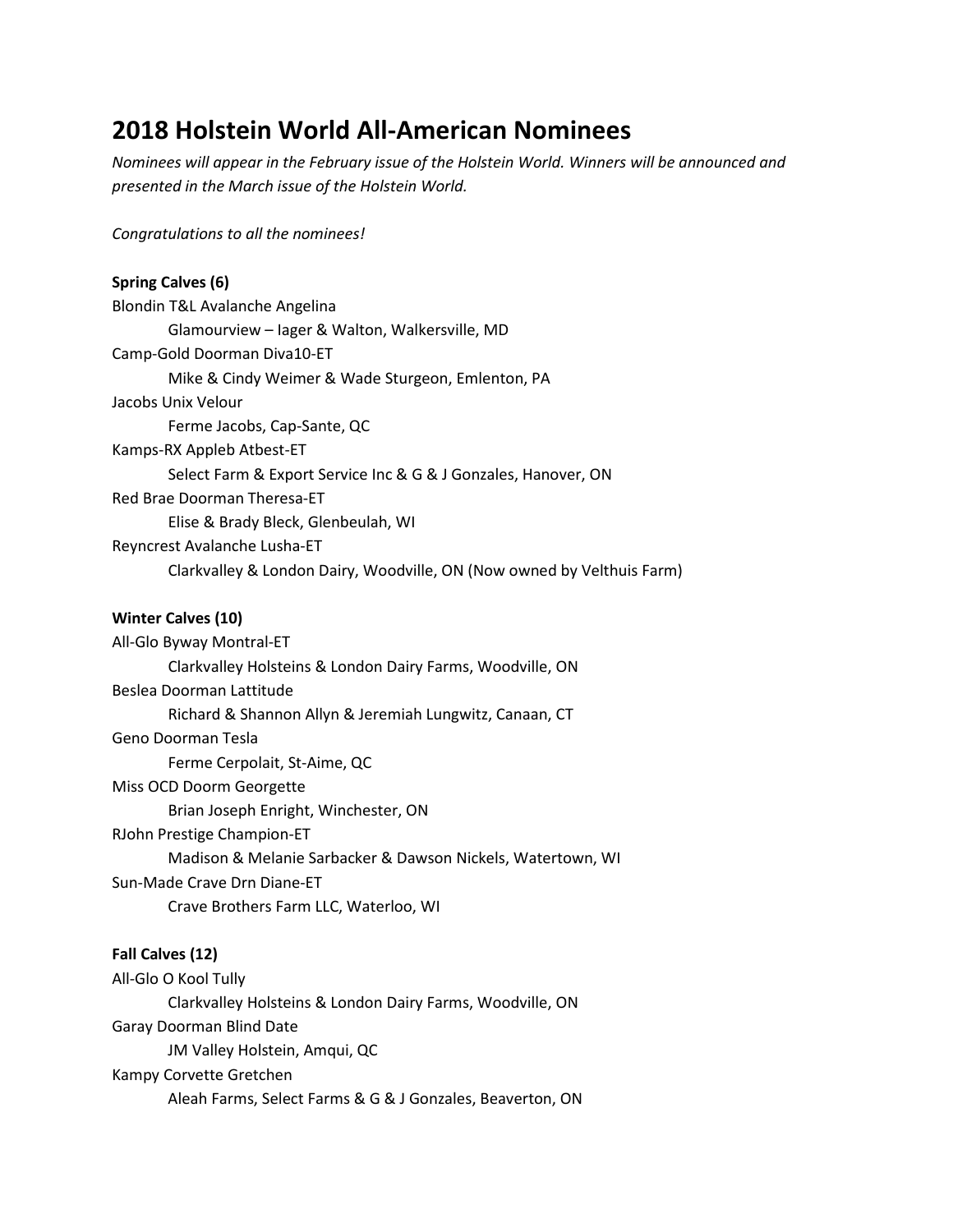# **2018 Holstein World All-American Nominees**

*Nominees will appear in the February issue of the Holstein World. Winners will be announced and presented in the March issue of the Holstein World.*

*Congratulations to all the nominees!*

| <b>Spring Calves (6)</b>                                               |
|------------------------------------------------------------------------|
| Blondin T&L Avalanche Angelina                                         |
| Glamourview - lager & Walton, Walkersville, MD                         |
| Camp-Gold Doorman Diva10-ET                                            |
| Mike & Cindy Weimer & Wade Sturgeon, Emlenton, PA                      |
| Jacobs Unix Velour                                                     |
| Ferme Jacobs, Cap-Sante, QC                                            |
| Kamps-RX Appleb Atbest-ET                                              |
| Select Farm & Export Service Inc & G & J Gonzales, Hanover, ON         |
| Red Brae Doorman Theresa-ET                                            |
| Elise & Brady Bleck, Glenbeulah, WI                                    |
| Reyncrest Avalanche Lusha-ET                                           |
| Clarkvalley & London Dairy, Woodville, ON (Now owned by Velthuis Farm) |
|                                                                        |

# **Winter Calves (10)**

All-Glo Byway Montral-ET Clarkvalley Holsteins & London Dairy Farms, Woodville, ON Beslea Doorman Lattitude Richard & Shannon Allyn & Jeremiah Lungwitz, Canaan, CT Geno Doorman Tesla Ferme Cerpolait, St-Aime, QC Miss OCD Doorm Georgette Brian Joseph Enright, Winchester, ON RJohn Prestige Champion-ET Madison & Melanie Sarbacker & Dawson Nickels, Watertown, WI Sun-Made Crave Drn Diane-ET Crave Brothers Farm LLC, Waterloo, WI

# **Fall Calves (12)**

All-Glo O Kool Tully Clarkvalley Holsteins & London Dairy Farms, Woodville, ON Garay Doorman Blind Date JM Valley Holstein, Amqui, QC Kampy Corvette Gretchen Aleah Farms, Select Farms & G & J Gonzales, Beaverton, ON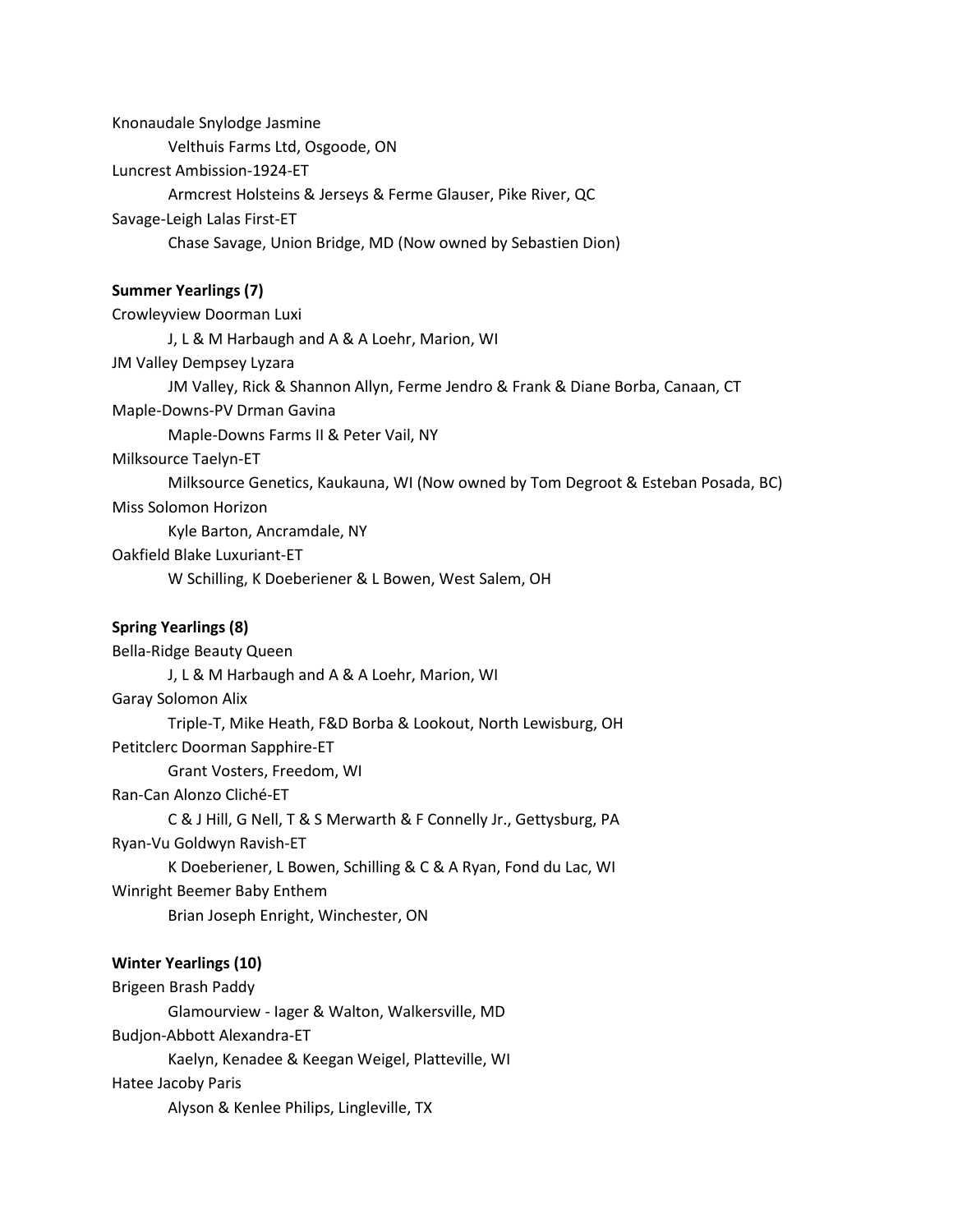Knonaudale Snylodge Jasmine Velthuis Farms Ltd, Osgoode, ON Luncrest Ambission-1924-ET Armcrest Holsteins & Jerseys & Ferme Glauser, Pike River, QC Savage-Leigh Lalas First-ET Chase Savage, Union Bridge, MD (Now owned by Sebastien Dion) **Summer Yearlings (7)** Crowleyview Doorman Luxi J, L & M Harbaugh and A & A Loehr, Marion, WI JM Valley Dempsey Lyzara JM Valley, Rick & Shannon Allyn, Ferme Jendro & Frank & Diane Borba, Canaan, CT Maple-Downs-PV Drman Gavina Maple-Downs Farms II & Peter Vail, NY Milksource Taelyn-ET Milksource Genetics, Kaukauna, WI (Now owned by Tom Degroot & Esteban Posada, BC) Miss Solomon Horizon Kyle Barton, Ancramdale, NY Oakfield Blake Luxuriant-ET W Schilling, K Doeberiener & L Bowen, West Salem, OH

## **Spring Yearlings (8)**

Bella-Ridge Beauty Queen J, L & M Harbaugh and A & A Loehr, Marion, WI Garay Solomon Alix Triple-T, Mike Heath, F&D Borba & Lookout, North Lewisburg, OH Petitclerc Doorman Sapphire-ET Grant Vosters, Freedom, WI Ran-Can Alonzo Cliché-ET C & J Hill, G Nell, T & S Merwarth & F Connelly Jr., Gettysburg, PA Ryan-Vu Goldwyn Ravish-ET K Doeberiener, L Bowen, Schilling & C & A Ryan, Fond du Lac, WI Winright Beemer Baby Enthem Brian Joseph Enright, Winchester, ON

#### **Winter Yearlings (10)**

Brigeen Brash Paddy Glamourview - Iager & Walton, Walkersville, MD Budjon-Abbott Alexandra-ET Kaelyn, Kenadee & Keegan Weigel, Platteville, WI Hatee Jacoby Paris Alyson & Kenlee Philips, Lingleville, TX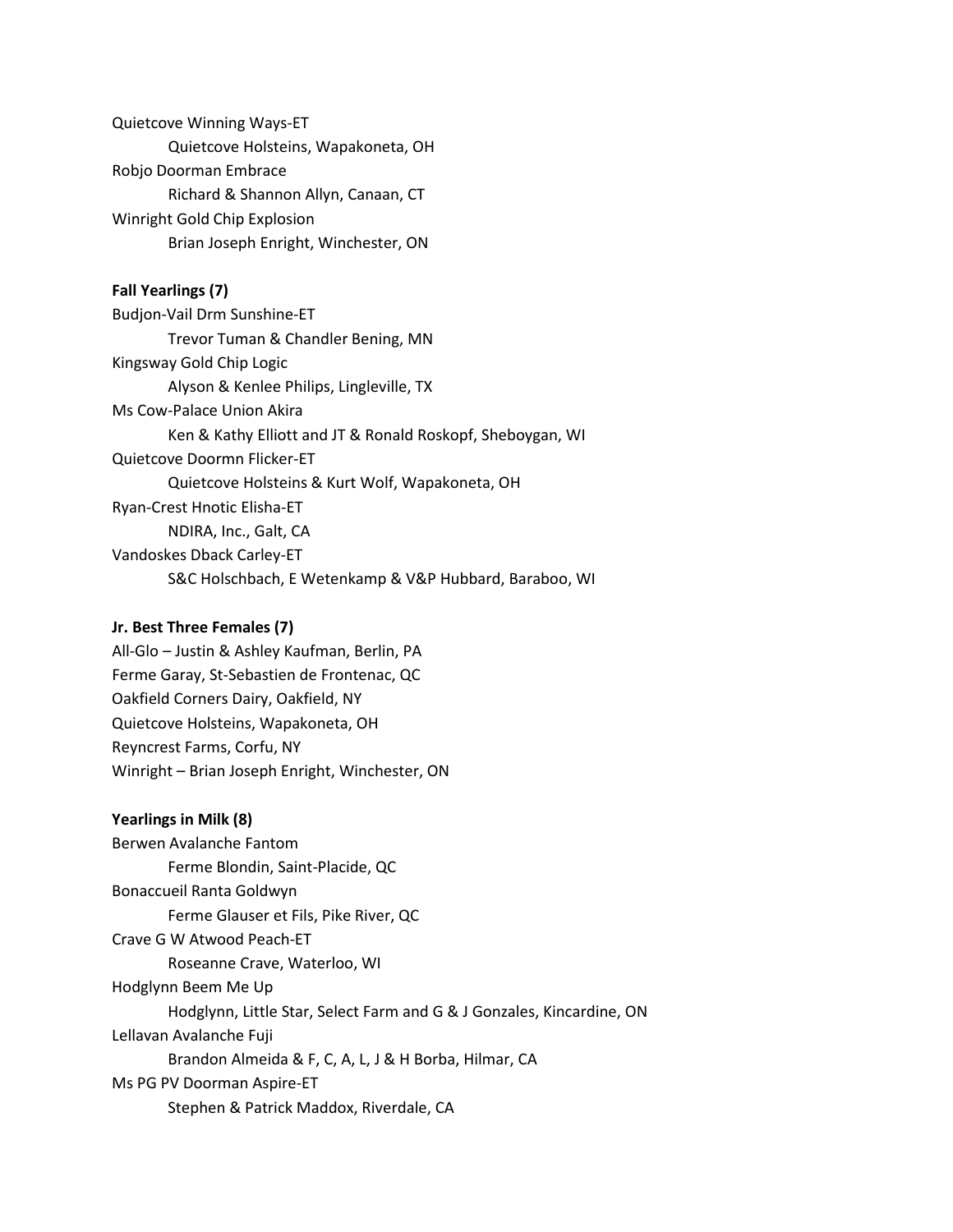Quietcove Winning Ways-ET Quietcove Holsteins, Wapakoneta, OH Robjo Doorman Embrace Richard & Shannon Allyn, Canaan, CT Winright Gold Chip Explosion Brian Joseph Enright, Winchester, ON

# **Fall Yearlings (7)**

Budjon-Vail Drm Sunshine-ET Trevor Tuman & Chandler Bening, MN Kingsway Gold Chip Logic Alyson & Kenlee Philips, Lingleville, TX Ms Cow-Palace Union Akira Ken & Kathy Elliott and JT & Ronald Roskopf, Sheboygan, WI Quietcove Doormn Flicker-ET Quietcove Holsteins & Kurt Wolf, Wapakoneta, OH Ryan-Crest Hnotic Elisha-ET NDIRA, Inc., Galt, CA Vandoskes Dback Carley-ET S&C Holschbach, E Wetenkamp & V&P Hubbard, Baraboo, WI

## **Jr. Best Three Females (7)**

All-Glo – Justin & Ashley Kaufman, Berlin, PA Ferme Garay, St-Sebastien de Frontenac, QC Oakfield Corners Dairy, Oakfield, NY Quietcove Holsteins, Wapakoneta, OH Reyncrest Farms, Corfu, NY Winright – Brian Joseph Enright, Winchester, ON

## **Yearlings in Milk (8)**

Berwen Avalanche Fantom Ferme Blondin, Saint-Placide, QC Bonaccueil Ranta Goldwyn Ferme Glauser et Fils, Pike River, QC Crave G W Atwood Peach-ET Roseanne Crave, Waterloo, WI Hodglynn Beem Me Up Hodglynn, Little Star, Select Farm and G & J Gonzales, Kincardine, ON Lellavan Avalanche Fuji Brandon Almeida & F, C, A, L, J & H Borba, Hilmar, CA Ms PG PV Doorman Aspire-ET Stephen & Patrick Maddox, Riverdale, CA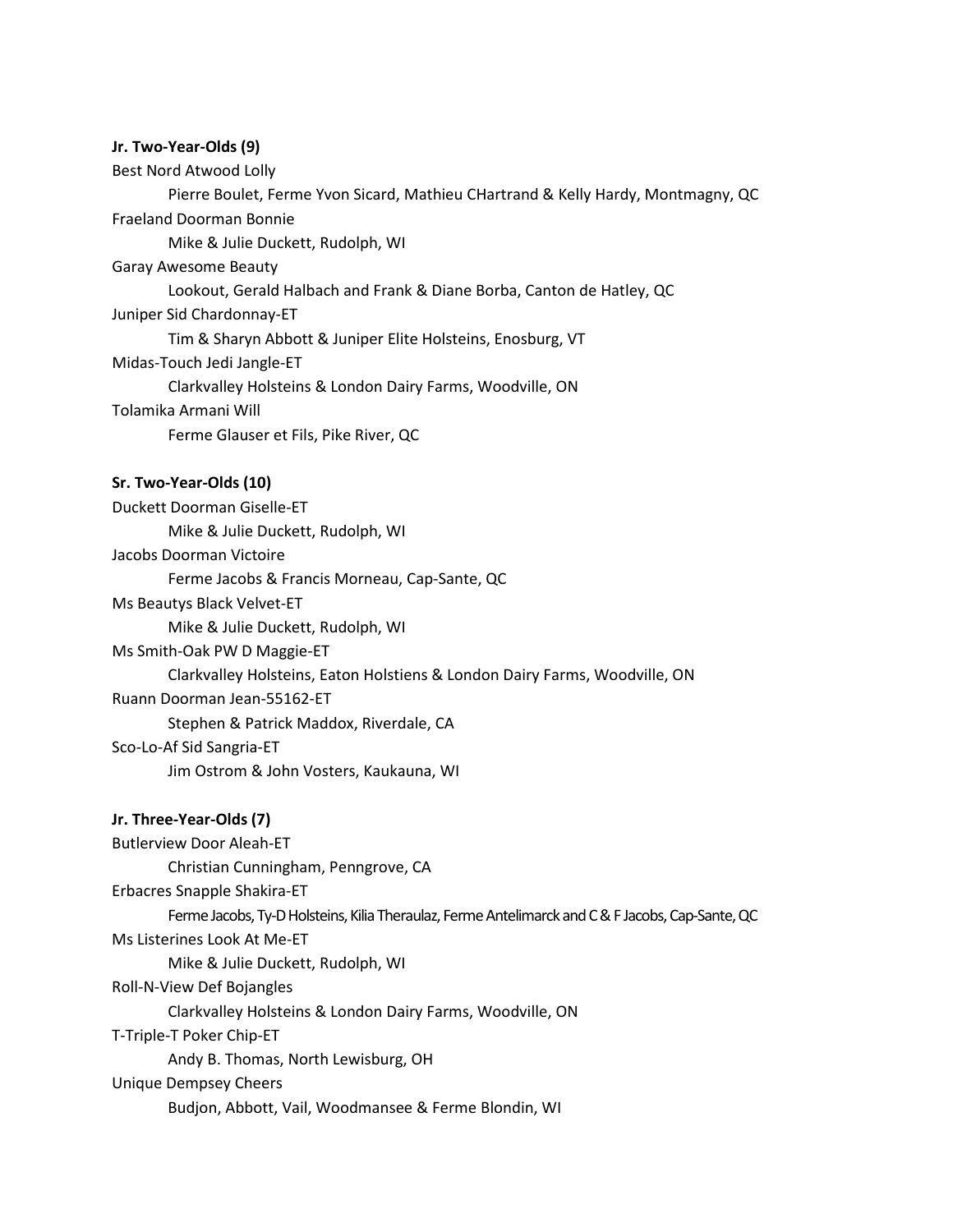## **Jr. Two-Year-Olds (9)**

Best Nord Atwood Lolly

Pierre Boulet, Ferme Yvon Sicard, Mathieu CHartrand & Kelly Hardy, Montmagny, QC Fraeland Doorman Bonnie

Mike & Julie Duckett, Rudolph, WI

Garay Awesome Beauty

Lookout, Gerald Halbach and Frank & Diane Borba, Canton de Hatley, QC

Juniper Sid Chardonnay-ET

Tim & Sharyn Abbott & Juniper Elite Holsteins, Enosburg, VT

Midas-Touch Jedi Jangle-ET

Clarkvalley Holsteins & London Dairy Farms, Woodville, ON

## Tolamika Armani Will

Ferme Glauser et Fils, Pike River, QC

## **Sr. Two-Year-Olds (10)**

Duckett Doorman Giselle-ET Mike & Julie Duckett, Rudolph, WI Jacobs Doorman Victoire Ferme Jacobs & Francis Morneau, Cap-Sante, QC Ms Beautys Black Velvet-ET Mike & Julie Duckett, Rudolph, WI Ms Smith-Oak PW D Maggie-ET Clarkvalley Holsteins, Eaton Holstiens & London Dairy Farms, Woodville, ON Ruann Doorman Jean-55162-ET Stephen & Patrick Maddox, Riverdale, CA Sco-Lo-Af Sid Sangria-ET Jim Ostrom & John Vosters, Kaukauna, WI

# **Jr. Three-Year-Olds (7)**

Butlerview Door Aleah-ET Christian Cunningham, Penngrove, CA Erbacres Snapple Shakira-ET Ferme Jacobs, Ty-D Holsteins, Kilia Theraulaz, Ferme Antelimarck and C & F Jacobs, Cap-Sante, QC Ms Listerines Look At Me-ET Mike & Julie Duckett, Rudolph, WI Roll-N-View Def Bojangles Clarkvalley Holsteins & London Dairy Farms, Woodville, ON T-Triple-T Poker Chip-ET Andy B. Thomas, North Lewisburg, OH Unique Dempsey Cheers Budjon, Abbott, Vail, Woodmansee & Ferme Blondin, WI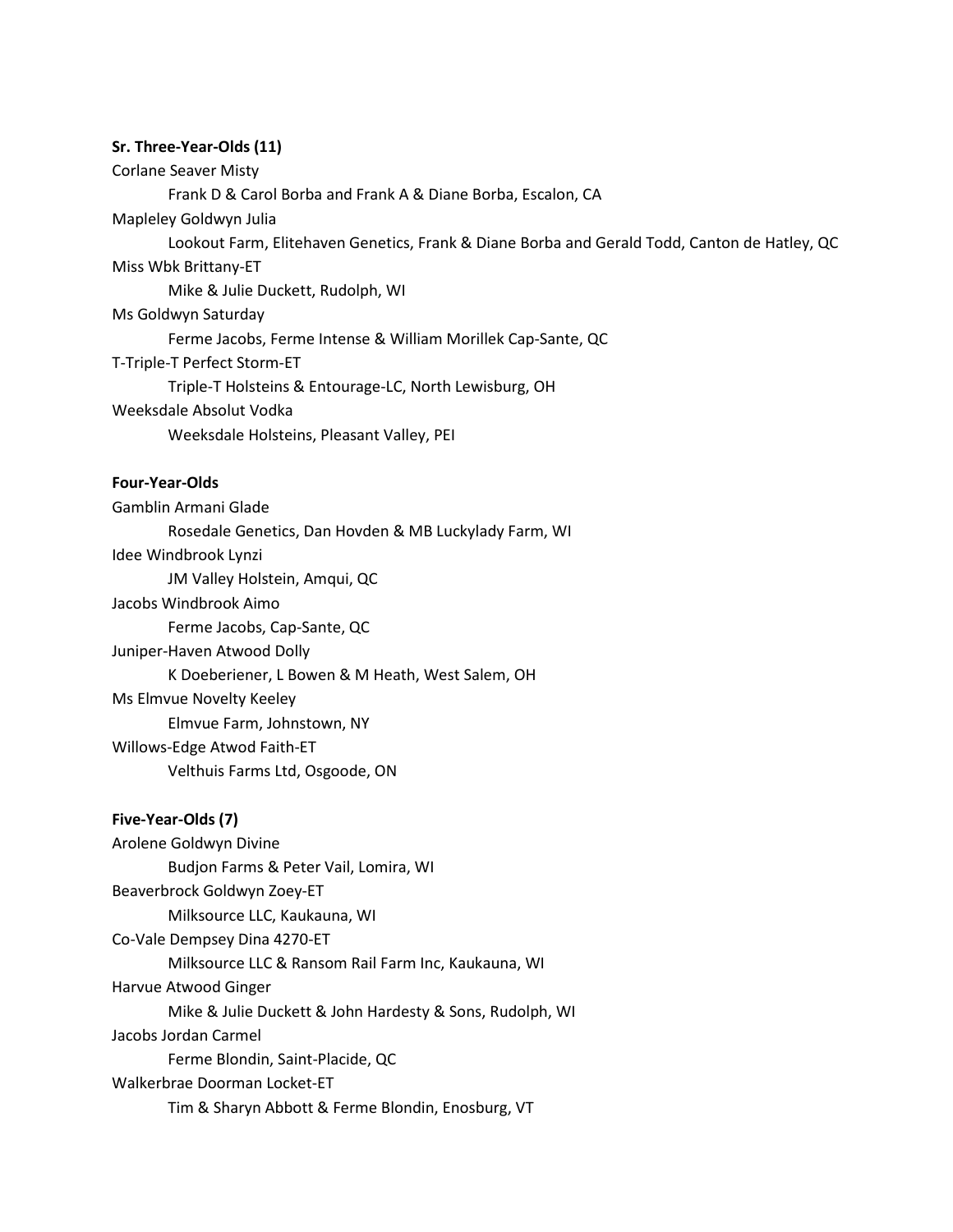#### **Sr. Three-Year-Olds (11)**

Corlane Seaver Misty

Frank D & Carol Borba and Frank A & Diane Borba, Escalon, CA

Mapleley Goldwyn Julia

Lookout Farm, Elitehaven Genetics, Frank & Diane Borba and Gerald Todd, Canton de Hatley, QC

Miss Wbk Brittany-ET

Mike & Julie Duckett, Rudolph, WI

Ms Goldwyn Saturday

Ferme Jacobs, Ferme Intense & William Morillek Cap-Sante, QC

T-Triple-T Perfect Storm-ET

Triple-T Holsteins & Entourage-LC, North Lewisburg, OH

Weeksdale Absolut Vodka

Weeksdale Holsteins, Pleasant Valley, PEI

## **Four-Year-Olds**

Gamblin Armani Glade Rosedale Genetics, Dan Hovden & MB Luckylady Farm, WI Idee Windbrook Lynzi JM Valley Holstein, Amqui, QC Jacobs Windbrook Aimo Ferme Jacobs, Cap-Sante, QC Juniper-Haven Atwood Dolly K Doeberiener, L Bowen & M Heath, West Salem, OH Ms Elmvue Novelty Keeley Elmvue Farm, Johnstown, NY Willows-Edge Atwod Faith-ET Velthuis Farms Ltd, Osgoode, ON

## **Five-Year-Olds (7)**

Arolene Goldwyn Divine Budjon Farms & Peter Vail, Lomira, WI Beaverbrock Goldwyn Zoey-ET Milksource LLC, Kaukauna, WI Co-Vale Dempsey Dina 4270-ET Milksource LLC & Ransom Rail Farm Inc, Kaukauna, WI Harvue Atwood Ginger Mike & Julie Duckett & John Hardesty & Sons, Rudolph, WI Jacobs Jordan Carmel Ferme Blondin, Saint-Placide, QC Walkerbrae Doorman Locket-ET Tim & Sharyn Abbott & Ferme Blondin, Enosburg, VT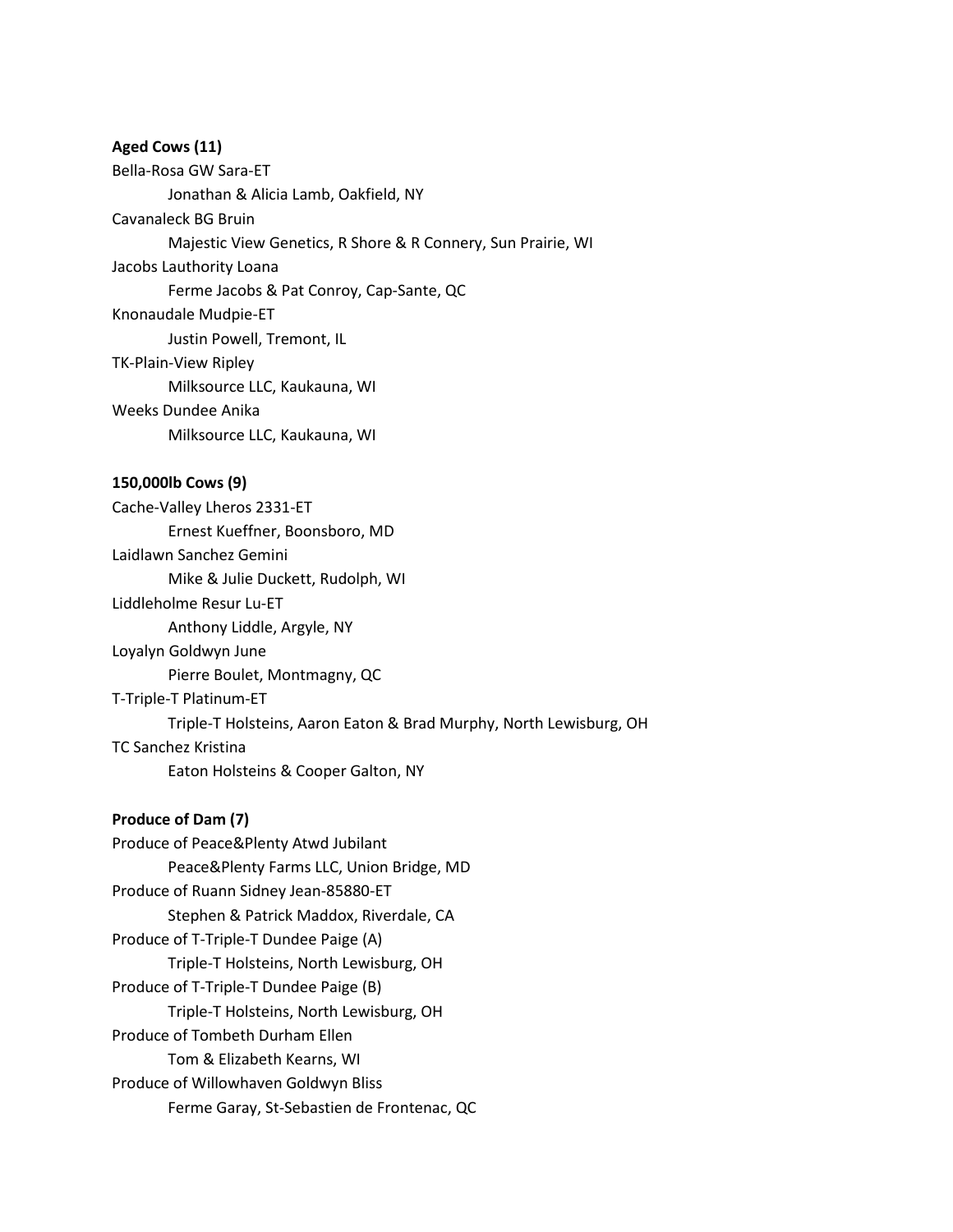#### **Aged Cows (11)**

Bella-Rosa GW Sara-ET Jonathan & Alicia Lamb, Oakfield, NY Cavanaleck BG Bruin Majestic View Genetics, R Shore & R Connery, Sun Prairie, WI Jacobs Lauthority Loana Ferme Jacobs & Pat Conroy, Cap-Sante, QC Knonaudale Mudpie-ET Justin Powell, Tremont, IL TK-Plain-View Ripley

Milksource LLC, Kaukauna, WI

#### Weeks Dundee Anika

Milksource LLC, Kaukauna, WI

#### **150,000lb Cows (9)**

Cache-Valley Lheros 2331-ET Ernest Kueffner, Boonsboro, MD Laidlawn Sanchez Gemini Mike & Julie Duckett, Rudolph, WI Liddleholme Resur Lu-ET Anthony Liddle, Argyle, NY Loyalyn Goldwyn June Pierre Boulet, Montmagny, QC T-Triple-T Platinum-ET Triple-T Holsteins, Aaron Eaton & Brad Murphy, North Lewisburg, OH TC Sanchez Kristina Eaton Holsteins & Cooper Galton, NY

#### **Produce of Dam (7)**

Produce of Peace&Plenty Atwd Jubilant Peace&Plenty Farms LLC, Union Bridge, MD Produce of Ruann Sidney Jean-85880-ET Stephen & Patrick Maddox, Riverdale, CA Produce of T-Triple-T Dundee Paige (A) Triple-T Holsteins, North Lewisburg, OH Produce of T-Triple-T Dundee Paige (B) Triple-T Holsteins, North Lewisburg, OH Produce of Tombeth Durham Ellen Tom & Elizabeth Kearns, WI Produce of Willowhaven Goldwyn Bliss Ferme Garay, St-Sebastien de Frontenac, QC